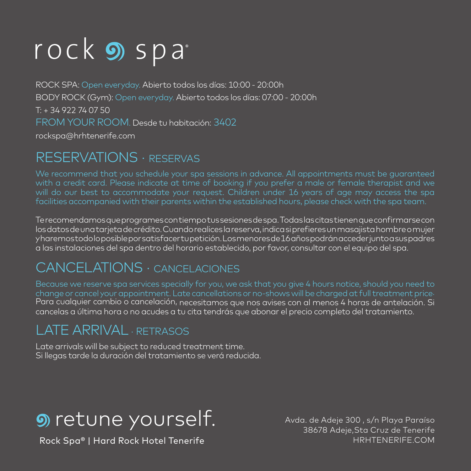# rock **9** spa

ROCK SPA: Open everyday. Abierto todos los días: 10:00 - 20:00h BODY ROCK (Gym): Open everyday. Abierto todos los días: 07:00 - 20:00h T: + 34 922 74 07 50 FROM YOUR ROOM. Desde tu habitación: 3402 rockspa@hrhtenerife.com

## RESERVATIONS · RESERVAS

facilities accompanied with their parents within the established hours, please check with the spa team.

Te recomendamos que programes con tiempo tus sesiones de spa. Todas las citas tienen que confirmarse con los datos de una tarjeta de crédito. Cuando realices la reserva, indica si prefieres un masajista hombre o mujer y haremos todo lo posible por satisfacer tu petición. Los menores de 16 años podrán acceder junto a sus padres a las instalaciones del spa dentro del horario establecido, por favor, consultar con el equipo del spa.

## CANCELATIONS · CANCELACIONES

Para cualquier cambio o cancelación, necesitamos que nos avises con al menos 4 horas de antelación. Si cancelas a última hora o no acudes a tu cita tendrás que abonar el precio completo del tratamiento.

## LATE ARRIVAL · RETRASOS

Late arrivals will be subject to reduced treatment time. Si llegas tarde la duración del tratamiento se verá reducida.

## **9** retune yourself.

Rock Spa® | Hard Rock Hotel Tenerife

Avda. de Adeje 300 , s/n Playa Paraíso 38678 Adeje,Sta Cruz de Tenerife HRHTENERIFE.COM